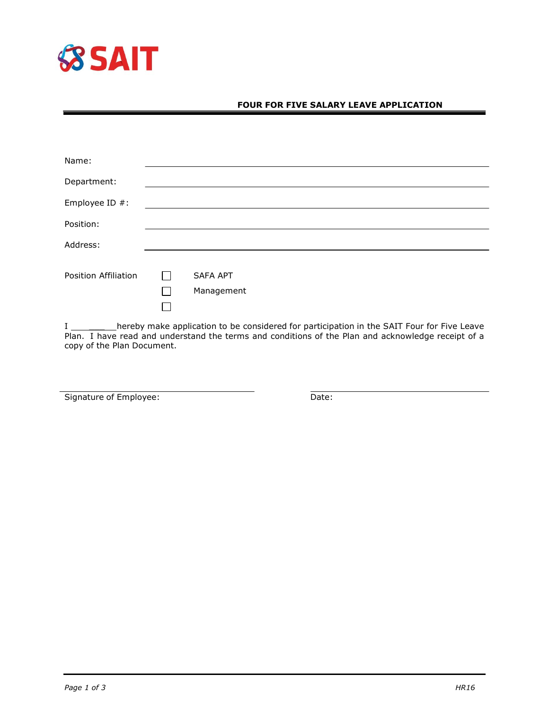

## **FOUR FOR FIVE SALARY LEAVE APPLICATION**

| Name:                |                               |  |  |
|----------------------|-------------------------------|--|--|
| Department:          |                               |  |  |
| Employee ID #:       |                               |  |  |
| Position:            |                               |  |  |
| Address:             |                               |  |  |
| Position Affiliation | <b>SAFA APT</b><br>Management |  |  |

I \_\_\_\_\_\_\_\_\_\_hereby make application to be considered for participation in the SAIT Four for Five Leave Plan. I have read and understand the terms and conditions of the Plan and acknowledge receipt of a copy of the Plan Document.

Signature of Employee: Date: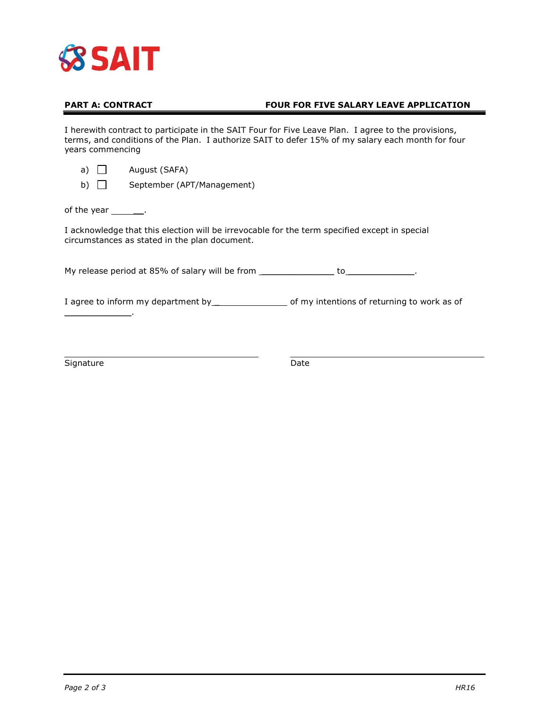

## **PART A: CONTRACT FOUR FOR FIVE SALARY LEAVE APPLICATION**

I herewith contract to participate in the SAIT Four for Five Leave Plan. I agree to the provisions, terms, and conditions of the Plan. I authorize SAIT to defer 15% of my salary each month for four years commencing

| a) |  | August (SAFA) |  |
|----|--|---------------|--|
|    |  |               |  |

b) September (APT/Management)

of the year  $\_\_\_\_\$ .

I acknowledge that this election will be irrevocable for the term specified except in special circumstances as stated in the plan document.

My release period at 85% of salary will be from \_\_\_\_\_\_\_\_\_\_\_\_\_\_\_\_\_ to\_\_\_\_\_\_\_\_\_\_\_\_\_.

I agree to inform my department by \_\_\_\_\_\_\_\_\_\_\_\_\_\_\_\_\_\_\_\_\_\_ of my intentions of returning to work as of

Signature Date

 $\mathcal{L}_\text{max}$  and  $\mathcal{L}_\text{max}$